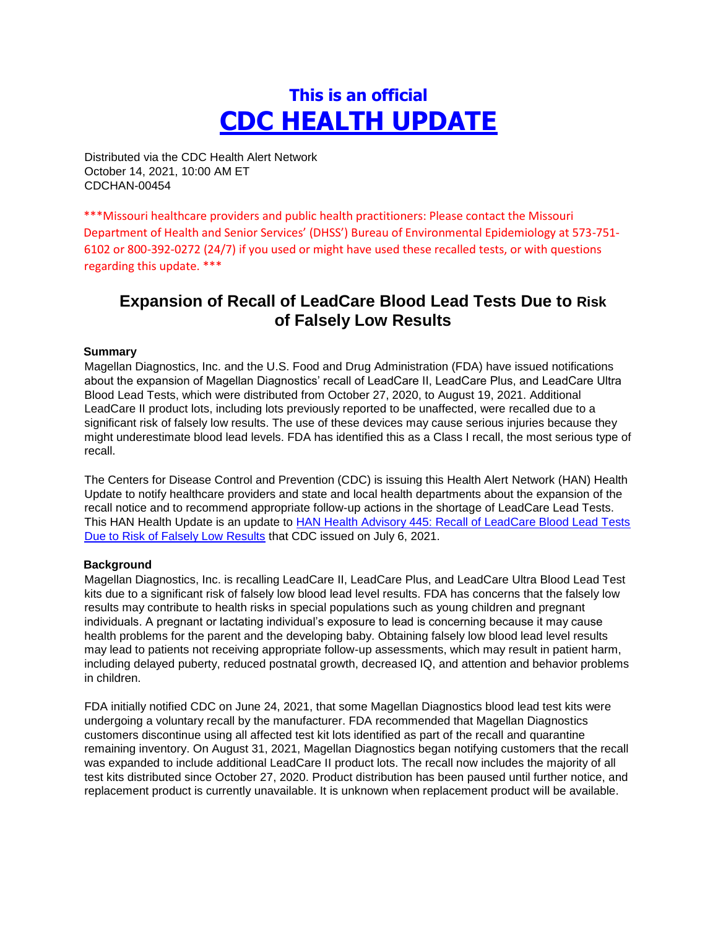# **This is an official CDC HEALTH UPDATE**

Distributed via the CDC Health Alert Network October 14, 2021, 10:00 AM ET CDCHAN-00454

\*\*\*Missouri healthcare providers and public health practitioners: Please contact the Missouri Department of Health and Senior Services' (DHSS') Bureau of Environmental Epidemiology at 573-751- 6102 or 800-392-0272 (24/7) if you used or might have used these recalled tests, or with questions regarding this update. \*\*\*

# **Expansion of Recall of LeadCare Blood Lead Tests Due to Risk of Falsely Low Results**

#### **Summary**

Magellan Diagnostics, Inc. and the U.S. Food and Drug Administration (FDA) have issued notifications about the expansion of Magellan Diagnostics' recall of LeadCare II, LeadCare Plus, and LeadCare Ultra Blood Lead Tests, which were distributed from October 27, 2020, to August 19, 2021. Additional LeadCare II product lots, including lots previously reported to be unaffected, were recalled due to a significant risk of falsely low results. The use of these devices may cause serious injuries because they might underestimate blood lead levels. FDA has identified this as a Class I recall, the most serious type of recall.

The Centers for Disease Control and Prevention (CDC) is issuing this Health Alert Network (HAN) Health Update to notify healthcare providers and state and local health departments about the expansion of the recall notice and to recommend appropriate follow-up actions in the shortage of LeadCare Lead Tests. This HAN Health Update is an update to [HAN Health Advisory 445: Recall of LeadCare Blood Lead Tests](https://urldefense.com/v3/__https:/emergency.cdc.gov/han/2021/han00445.asp__;!!EErPFA7f--AJOw!VCA80CCEa-QeHR3xANdM92yLae8DQmw7topWW7J7XyBKSYG_zVHiuAcaUif9hQ$) [Due to Risk of Falsely Low Results](https://urldefense.com/v3/__https:/emergency.cdc.gov/han/2021/han00445.asp__;!!EErPFA7f--AJOw!VCA80CCEa-QeHR3xANdM92yLae8DQmw7topWW7J7XyBKSYG_zVHiuAcaUif9hQ$) [t](https://urldefense.com/v3/__https:/emergency.cdc.gov/han/2021/han00445.asp__;!!EErPFA7f--AJOw!VCA80CCEa-QeHR3xANdM92yLae8DQmw7topWW7J7XyBKSYG_zVHiuAcaUif9hQ$)hat CDC issued on July 6, 2021.

#### **Background**

Magellan Diagnostics, Inc. is recalling LeadCare II, LeadCare Plus, and LeadCare Ultra Blood Lead Test kits due to a significant risk of falsely low blood lead level results. FDA has concerns that the falsely low results may contribute to health risks in special populations such as young children and pregnant individuals. A pregnant or lactating individual's exposure to lead is concerning because it may cause health problems for the parent and the developing baby. Obtaining falsely low blood lead level results may lead to patients not receiving appropriate follow-up assessments, which may result in patient harm, including delayed puberty, reduced postnatal growth, decreased IQ, and attention and behavior problems in children.

FDA initially notified CDC on June 24, 2021, that some Magellan Diagnostics blood lead test kits were undergoing a voluntary recall by the manufacturer. FDA recommended that Magellan Diagnostics customers discontinue using all affected test kit lots identified as part of the recall and quarantine remaining inventory. On August 31, 2021, Magellan Diagnostics began notifying customers that the recall was expanded to include additional LeadCare II product lots. The recall now includes the majority of all test kits distributed since October 27, 2020. Product distribution has been paused until further notice, and replacement product is currently unavailable. It is unknown when replacement product will be available.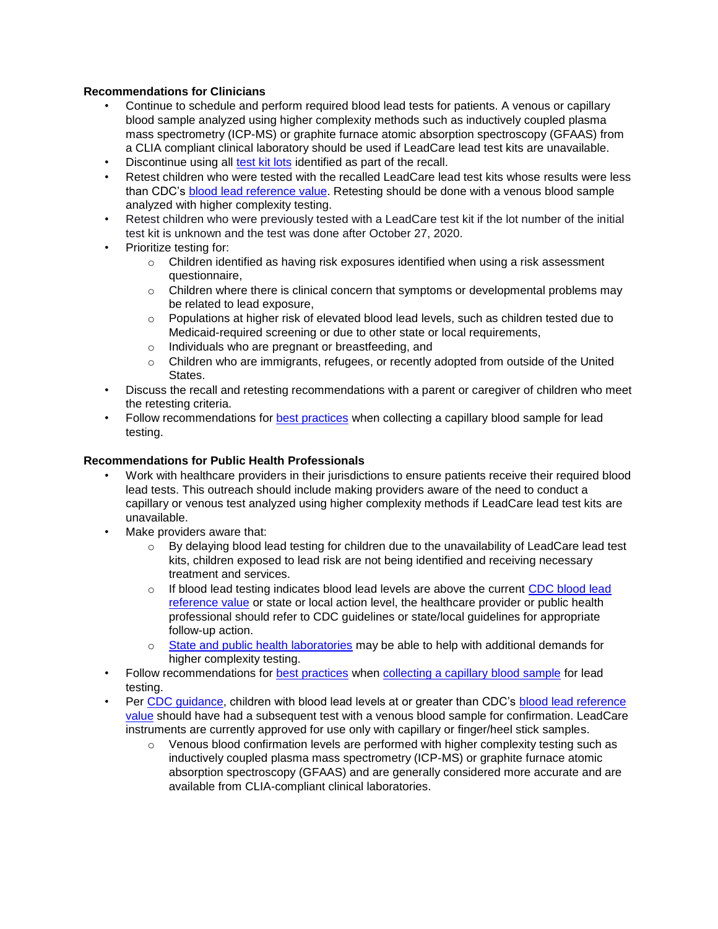#### **Recommendations for Clinicians**

- Continue to schedule and perform required blood lead tests for patients. A venous or capillary blood sample analyzed using higher complexity methods such as inductively coupled plasma mass spectrometry (ICP-MS) or graphite furnace atomic absorption spectroscopy (GFAAS) from a CLIA compliant clinical laboratory should be used if LeadCare lead test kits are unavailable.
- Discontinue using all [test kit lots](https://urldefense.com/v3/__https:/www.fda.gov/medical-devices/medical-device-recalls/magellan-diagnostics-recalls-leadcare-ii-leadcare-plus-and-leadcare-ultra-blood-lead-tests-due-risk__;!!EErPFA7f--AJOw!VCA80CCEa-QeHR3xANdM92yLae8DQmw7topWW7J7XyBKSYG_zVHiuAfH0EXR5g$) [id](https://urldefense.com/v3/__https:/www.fda.gov/medical-devices/medical-device-recalls/magellan-diagnostics-recalls-leadcare-ii-leadcare-plus-and-leadcare-ultra-blood-lead-tests-due-risk__;!!EErPFA7f--AJOw!VCA80CCEa-QeHR3xANdM92yLae8DQmw7topWW7J7XyBKSYG_zVHiuAfH0EXR5g$)entified as part of the recall.
- Retest children who were tested with the recalled LeadCare lead test kits whose results were less than CDC's [blood lead reference value.](https://urldefense.com/v3/__https:/www.cdc.gov/nceh/lead/data/blood-lead-reference-value.htm__;!!EErPFA7f--AJOw!VCA80CCEa-QeHR3xANdM92yLae8DQmw7topWW7J7XyBKSYG_zVHiuAdESy2ItA$) Retesting should be done with a venous blood sample analyzed with higher complexity testing.
- Retest children who were previously tested with a LeadCare test kit if the lot number of the initial test kit is unknown and the test was done after October 27, 2020.
- Prioritize testing for:
	- $\circ$  Children identified as having risk exposures identified when using a risk assessment questionnaire,
	- $\circ$  Children where there is clinical concern that symptoms or developmental problems may be related to lead exposure,
	- $\circ$  Populations at higher risk of elevated blood lead levels, such as children tested due to Medicaid-required screening or due to other state or local requirements,
	- o Individuals who are pregnant or breastfeeding, and
	- $\circ$  Children who are immigrants, refugees, or recently adopted from outside of the United States.
- Discuss the recall and retesting recommendations with a parent or caregiver of children who meet the retesting criteria.
- Follow recommendations for **best practices** when collecting a capillary blood sample for lead testing.

### **Recommendations for Public Health Professionals**

- Work with healthcare providers in their jurisdictions to ensure patients receive their required blood lead tests. This outreach should include making providers aware of the need to conduct a capillary or venous test analyzed using higher complexity methods if LeadCare lead test kits are unavailable.
- Make providers aware that:
	- $\circ$  By delaying blood lead testing for children due to the unavailability of LeadCare lead test kits, children exposed to lead risk are not being identified and receiving necessary treatment and services.
	- $\circ$  If blood lead testing indicates blood lead levels are above the current [CDC blood lead](https://urldefense.com/v3/__https:/www.cdc.gov/nceh/lead/data/blood-lead-reference-value.htm__;!!EErPFA7f--AJOw!VCA80CCEa-QeHR3xANdM92yLae8DQmw7topWW7J7XyBKSYG_zVHiuAdESy2ItA$) [reference value](https://urldefense.com/v3/__https:/www.cdc.gov/nceh/lead/data/blood-lead-reference-value.htm__;!!EErPFA7f--AJOw!VCA80CCEa-QeHR3xANdM92yLae8DQmw7topWW7J7XyBKSYG_zVHiuAdESy2ItA$) [o](https://urldefense.com/v3/__https:/www.cdc.gov/nceh/lead/data/blood-lead-reference-value.htm__;!!EErPFA7f--AJOw!VCA80CCEa-QeHR3xANdM92yLae8DQmw7topWW7J7XyBKSYG_zVHiuAdESy2ItA$)r state or local action level, the healthcare provider or public health professional should refer to CDC guidelines or state/local guidelines for appropriate follow-up action.
	- o [State and public health laboratories](https://urldefense.com/v3/__https:/emergency.cdc.gov/lrn/__;!!EErPFA7f--AJOw!VCA80CCEa-QeHR3xANdM92yLae8DQmw7topWW7J7XyBKSYG_zVHiuAfWkxgl6w$) [m](https://urldefense.com/v3/__https:/emergency.cdc.gov/lrn/__;!!EErPFA7f--AJOw!VCA80CCEa-QeHR3xANdM92yLae8DQmw7topWW7J7XyBKSYG_zVHiuAfWkxgl6w$)ay be able to help with additional demands for higher complexity testing.
- Follow recommendations for [best practices](https://urldefense.com/v3/__https:/www.cdc.gov/nceh/lead/lab/default.htm__;!!EErPFA7f--AJOw!VCA80CCEa-QeHR3xANdM92yLae8DQmw7topWW7J7XyBKSYG_zVHiuAdhfiAhkQ$) when [collecting a capillary blood sample](https://urldefense.com/v3/__https:/www.cdc.gov/biomonitoring/pdf/Lead_Fingerstick_Poster-508.pdf__;!!EErPFA7f--AJOw!VCA80CCEa-QeHR3xANdM92yLae8DQmw7topWW7J7XyBKSYG_zVHiuAcS318C0w$) [f](https://urldefense.com/v3/__https:/www.cdc.gov/biomonitoring/pdf/Lead_Fingerstick_Poster-508.pdf__;!!EErPFA7f--AJOw!VCA80CCEa-QeHR3xANdM92yLae8DQmw7topWW7J7XyBKSYG_zVHiuAcS318C0w$)or lead testing.
- Per [CDC guidance,](https://urldefense.com/v3/__https:/www.cdc.gov/nceh/lead/advisory/acclpp/actions-blls.htm__;!!EErPFA7f--AJOw!VCA80CCEa-QeHR3xANdM92yLae8DQmw7topWW7J7XyBKSYG_zVHiuAf-l7Yiew$) children with blood lead levels at or greater than CDC's [blood lead reference](https://urldefense.com/v3/__https:/www.cdc.gov/nceh/lead/data/blood-lead-reference-value.htm__;!!EErPFA7f--AJOw!VCA80CCEa-QeHR3xANdM92yLae8DQmw7topWW7J7XyBKSYG_zVHiuAdESy2ItA$) [value](https://urldefense.com/v3/__https:/www.cdc.gov/nceh/lead/data/blood-lead-reference-value.htm__;!!EErPFA7f--AJOw!VCA80CCEa-QeHR3xANdM92yLae8DQmw7topWW7J7XyBKSYG_zVHiuAdESy2ItA$) [s](https://urldefense.com/v3/__https:/www.cdc.gov/nceh/lead/data/blood-lead-reference-value.htm__;!!EErPFA7f--AJOw!VCA80CCEa-QeHR3xANdM92yLae8DQmw7topWW7J7XyBKSYG_zVHiuAdESy2ItA$)hould have had a subsequent test with a venous blood sample for confirmation. LeadCare instruments are currently approved for use only with capillary or finger/heel stick samples.
	- $\circ$  Venous blood confirmation levels are performed with higher complexity testing such as inductively coupled plasma mass spectrometry (ICP-MS) or graphite furnace atomic absorption spectroscopy (GFAAS) and are generally considered more accurate and are available from CLIA-compliant clinical laboratories.